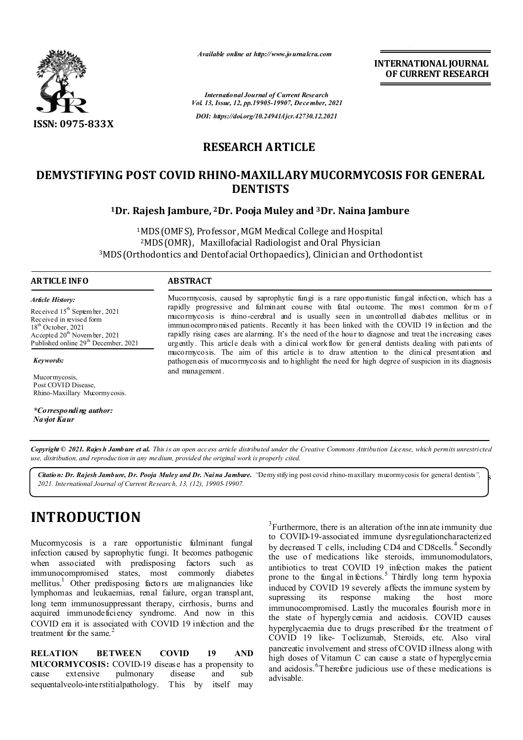

*Available online at http://www.journalcra.com*

**INTERNATIONAL JOURNAL OF CURRENT RESEARCH**

*International Journal of Current Research Vol. 13, Issue, 12, pp.19905-19907, December, 2021 DOI: https://doi.org/10.24941/ijcr.42730.12.2021*

# **RESEARCH ARTICLE**

## **DEMYSTIFYING POST COVID RHINO-MAXILLARY MUCORMYCOSIS FOR GENERAL DENTISTS**

**1Dr. Rajesh Jambure, 2Dr. Pooja Muley and 3Dr. Naina Jambure**

1MDS (OMFS), Professor, MGM Medical College and Hospital 2MDS (OMR), Maxillofacial Radiologist and Oral Physician 3MDS (Orthodontics and Dentofacial Orthopaedics), Clinician and Orthodontist

### **ARTICLE INFO ABSTRACT**

*Article History: Article History:* Received  $15^{\text{th}}$  Septem ber, 2021 Received in revised form Received in revised form Received in revised form  $18<sup>th</sup>$  October, 2021 Accepted  $20^{\text{th}}$  November, 2021 Published online 29<sup>th</sup> December, 2021  $18<sup>th</sup>$  October, 2021 Ac cepted  $20^{\text{th}}$  Novem b 18<sup>th</sup> October, 2021 Accepted 20<sup>th</sup> Novem ber, 2021

*Keywords:*

Mucormycosis, Post COVID Disease, Rhino-Maxillary Mucormycosis.

*\*Corresponding author: Navjot Kaur*

#### Mucormycosis, caused by saprophytic fungi is a rare opportunistic fungal infection, which has a rapidly progressive and fulminant course with fatal outcome. The most common form of mucormycosis is rhino-cerebral and is usually seen in uncontrolled diabetes mellitus or in immunocompromised patients. Recently it has been linked with the COVID 19 infection and the rapidly rising cases are alarming. It's the need of the hour to diagnose and treat the increasing cases urgently. This article deals with a clinical workflow for general dentists dealing with patients of mucormycosis. The aim of this article is to draw attention to the clinical presentation and pathogenesis of mucormycosis and to highlight the need for high degree of suspicion in its diagnosis and management.

Copyright © 2021. Rajes h Jamb ure et al. This is an open access article distributed under the Creative Commons Attribution License, which permits unrestricted *use, distribution, and reproduction in any medium, provided the original work is properly cited.*

*Citation: Dr. Rajesh Jambure, Dr. Pooja Muley and Dr. Naina Jambure.* "Demy stifying post covid rhino-maxillary mucormycosis for general dentists",  $\frac{1}{5}$ *2021. International Journal of Current Research, 13, (12), 19905-19907.*

# **INTRODUCTION**

Mucormycosis is a rare opportunistic fulminant fungal infection caused by saprophytic fungi. It becomes pathogenic when associated with predisposing factors such as immunocompromised states, most commonly diabetes immunocompromised states, most commonly mellitus.<sup>1</sup> Other predisposing factors are malignancies like lymphomas and leukaemias, renal failure, organ transplant, long term immunosuppressant therapy, cirrhosis, burns and acquired immunodeficiency syndrome. And now in this COVID era it is associated with COVID 19 infection and the treatment for the same. $^{2}$ 

**RELATION BETWEEN COVID 19 AND MUCORMYCOSIS:** COVID-19 disease has a propensity to cause extensive pulmonary disease and sub sequentalveolo-interstitialpathology. This by itself may

 $3$ Furthermore, there is an alteration of the innate immunity due to COVID-19-associated immune dysregulationcharacterized by decreased T cells, including CD4 and CD8cells. <sup>4</sup> Secondly the use of medications like steroids, immunomodulators, antibiotics to treat COVID 19 infection makes the patient prone to the fungal infections.<sup>5</sup> Thirdly long term hypoxia induced by COVID 19 severely affects the immune system by supressing its response making the host more immunocompromised. Lastly the mucorales flourish more in the state of hyperglycemia and acidosis. COVID causes hyperglycaemia due to drugs prescribed for the treatment of COVID 19 like- Toclizumab, Steroids, etc. Also viral pancreatic involvement and stress of COVID illness along with high doses of Vitamun C can cause a state of hyperglycemia and acidosis. <sup>6</sup>Therefore judicious use of these medications is advisable.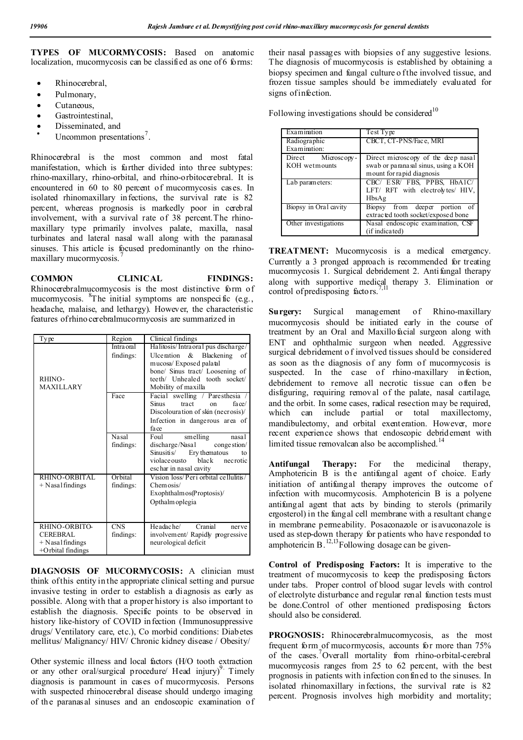**TYPES OF MUCORMYCOSIS:** Based on anatomic localization, mucormycosis can be classified as one of 6 forms:

- Rhinocerebral,
- Pulmonary,
- Cutaneous,
- Gastrointestinal,
- 
- Disseminated, and<br>• Uncommon presentations<sup>7</sup>.

Rhinocerebral is the most common and most fatal manifestation, which is further divided into three subtypes: rhino-maxillary, rhino-orbital, and rhino-orbitocerebral. It is encountered in 60 to 80 percent of mucormycosis cases. In isolated rhinomaxillary infections, the survival rate is 82 percent, whereas prognosis is markedly poor in cerebral involvement, with a survival rate of 38 percent.The rhinomaxillary type primarily involves palate, maxilla, nasal turbinates and lateral nasal wall along with the paranasal sinuses. This article is focused predominantly on the rhinomaxillary mucormycosis. <sup>7</sup>

**COMMON CLINICAL FINDINGS:** Rhinocerebralmucormycosis is the most distinctive form of mucormycosis. <sup>8</sup>The initial symptoms are nonspecific (e.g., headache, malaise, and lethargy). However, the characteristic features of rhino cerebralmucormycosis are summarized in

| Type                                                                         | Region                    | Clinical findings                                                                                                                                                                           |
|------------------------------------------------------------------------------|---------------------------|---------------------------------------------------------------------------------------------------------------------------------------------------------------------------------------------|
| RHINO-<br><b>MAXILLARY</b>                                                   | Intra oral<br>findings:   | Halitosis/Intraoral pus discharge/<br>Ulceration $\&$ Blackening<br>of<br>mucosa/Exposed palatal<br>bone/ Sinus tract/ Loosening of<br>teeth/ Unhealed tooth socket/<br>Mobility of maxilla |
|                                                                              | Face                      | Facial swelling / Paresthesia<br>Sinus<br>tract<br>face/<br><sub>on</sub><br>Discolouration of skin (necrosis)/<br>Infection in dangerous area of<br>fa ce                                  |
|                                                                              | <b>Nasal</b><br>findings: | Foul<br>smelling<br>nasal<br>discharge/Nasal congestion/<br>Ery thematous<br>$S$ musitis/<br>to<br>violace ousto black<br>necrotic<br>eschar in nasal cavity                                |
| RHINO-ORBITAL<br>$+$ N asal findings                                         | Orbital<br>findings:      | Vision loss/Peri orbital cellulitis/<br>Chemosis/<br>Exophthalm $os(Prop tosis)$<br>Opthalm oplegia                                                                                         |
| RHINO-ORBITO-<br><b>CEREBRAL</b><br>$+$ N asal findings<br>+Orbital findings | <b>CNS</b><br>findings:   | Headache/<br>Cranial<br>nerve<br>involvement/ Rapidly progressive<br>neurological deficit                                                                                                   |

**DIAGNOSIS OF MUCORMYCOSIS:** A clinician must think of this entity in the appropriate clinical setting and pursue invasive testing in order to establish a diagnosis as early as possible. Along with that a proper history is also important to establish the diagnosis. Specific points to be observed in history like-history of COVID infection (Immunosuppressive drugs/ Ventilatory care, etc.), Co morbid conditions: Diabetes mellitus/ Malignancy/ HIV/ Chronic kidney disease / Obesity/

Other systemic illness and local factors (H/O tooth extraction or any other oral/surgical procedure/  $\text{Head}$  injury)<sup>9</sup>. Timely diagnosis is paramount in cases of mucormycosis. Persons with suspected rhinocerebral disease should undergo imaging of the paranasal sinuses and an endoscopic examination of their nasal passages with biopsies of any suggestive lesions. The diagnosis of mucormycosis is established by obtaining a biopsy specimen and fungal culture o f the involved tissue, and frozen tissue samples should be immediately evaluated for signs of infection.

Following investigations should be considered<sup>10</sup>

| Examination                         | Test Type                                                                                                |
|-------------------------------------|----------------------------------------------------------------------------------------------------------|
| Radiographic<br>Examination:        | CBCT, CT-PNS/Face, MRI                                                                                   |
| Direct Microscopy-<br>KOH wetmounts | Direct microscopy of the deep nasal<br>swab or paranasal sinus, using a KOH<br>mount for rapid diagnosis |
| Lab parameters:                     | CBC/ ESR/ FBS, PPBS, HbA1C/<br>LFT/ RFT with electrolytes/ HIV,<br>HbsAg                                 |
| Biopsy in Oral cavity               | Biopsy from deeper portion<br>of<br>extracted tooth socket/exposed bone                                  |
| Other investigations                | Nasal endoscopic examination, CSF<br>(if indicated)                                                      |

**TREATMENT:** Mucormycosis is a medical emergency. Currently a 3 pronged approach is recommended for treating mucormycosis 1. Surgical debridement 2. Antifungal therapy along with supportive medical therapy 3. Elimination or control of predisposing factors.<sup>7</sup>

**Surgery:** Surgical management of Rhino-maxillary mucormycosis should be initiated early in the course of treatment by an Oral and Maxillo facial surgeon along with ENT and ophthalmic surgeon when needed. Aggressive surgical debridement o f involved tissues should be considered as soon as the diagnosis of any form of mucormycosis is suspected. In the case of rhino-maxillary infection, debridement to remove all necrotic tissue can often be disfiguring, requiring removal of the palate, nasal cartilage, and the orbit. In some cases, radical resection may be required, which can include partial or total maxillectomy, mandibulectomy, and orbital exenteration. However, more recent experience shows that endoscopic debridement with limited tissue removalcan also be accomplished.<sup>14</sup>

**Antifungal Therapy:** For the medicinal therapy, Amphotericin B is the antifungal agent of choice. Early initiation of antifungal therapy improves the outcome of infection with mucormycosis. Amphotericin B is a polyene antifungal agent that acts by binding to sterols (primarily ergosterol) in the fungal cell membrane with a resultant change in membrane permeability. Posaconazole or is avuconazole is used as step-down therapy for patients who have responded to amphotericin B.<sup>12,13</sup>Following dosage can be given-

**Control of Predisposing Factors:** It is imperative to the treatment of mucormycosis to keep the predisposing factors under tabs. Proper control of blood sugar levels with control of electrolyte disturbance and regular renal function tests must be done.Control of other mentioned predisposing factors should also be considered.

**PROGNOSIS:** Rhinocerebralmucomycosis, as the most frequent form of mucormycosis, accounts for more than 75% of the cases.<sup>7</sup>Overall mortality from rhino-orbital-cerebral mucormycosis ranges from 25 to 62 percent, with the best prognosis in patients with infection confined to the sinuses. In isolated rhinomaxillary infections, the survival rate is 82 percent. Prognosis involves high morbidity and mortality;